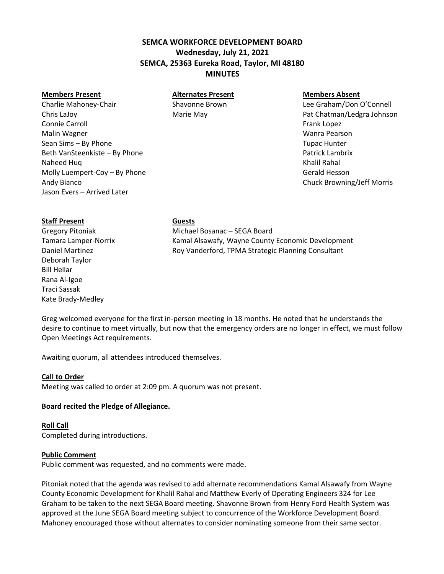# **SEMCA WORKFORCE DEVELOPMENT BOARD Wednesday, July 21, 2021 SEMCA, 25363 Eureka Road, Taylor, MI 48180 MINUTES**

### **Members Present Alternates Present Members Absent**

Charlie Mahoney-Chair Shavonne Brown Charlie Graham/Don O'Connell Chris LaJoy **Pat Chatman/Ledgra Johnson** Marie May **Pat Chatman/Ledgra Johnson** Connie Carroll **Frank Lopez Connie Carroll** Frank Lopez Malin Wagner Wanra Pearson Sean Sims – By Phone Tupac Hunter Controller Controller Controller Controller Controller Controller Controller Beth VanSteenkiste – By Phone Patrick Lambrix Naheed Huq Khalil Rahal Naheed Huq Khalil Rahal Naheed Huq Khalil Rahal Naheed Huq Khalil Rahal Naheed Huq Khalil Rahal Naheed Huq Khalil Rahal Naheed Huq Khalil Rahal Naheed Huq Khalil Rahal Naheed Huq Khalil Rahal Naheed Molly Luempert-Coy – By Phone Gerald Hesson Gerald Hesson Andy Bianco Chuck Browning/Jeff Morris Jason Evers – Arrived Later

# **Staff Present Guests**

Deborah Taylor Bill Hellar Rana Al-Igoe Traci Sassak Kate Brady-Medley

Gregory Pitoniak Michael Bosanac – SEGA Board Tamara Lamper-Norrix Kamal Alsawafy, Wayne County Economic Development Daniel Martinez **Roy Vanderford, TPMA Strategic Planning Consultant** 

Greg welcomed everyone for the first in-person meeting in 18 months. He noted that he understands the desire to continue to meet virtually, but now that the emergency orders are no longer in effect, we must follow Open Meetings Act requirements.

Awaiting quorum, all attendees introduced themselves.

## **Call to Order**

Meeting was called to order at 2:09 pm. A quorum was not present.

## **Board recited the Pledge of Allegiance.**

## **Roll Call**

Completed during introductions.

## **Public Comment**

Public comment was requested, and no comments were made.

Pitoniak noted that the agenda was revised to add alternate recommendations Kamal Alsawafy from Wayne County Economic Development for Khalil Rahal and Matthew Everly of Operating Engineers 324 for Lee Graham to be taken to the next SEGA Board meeting. Shavonne Brown from Henry Ford Health System was approved at the June SEGA Board meeting subject to concurrence of the Workforce Development Board. Mahoney encouraged those without alternates to consider nominating someone from their same sector.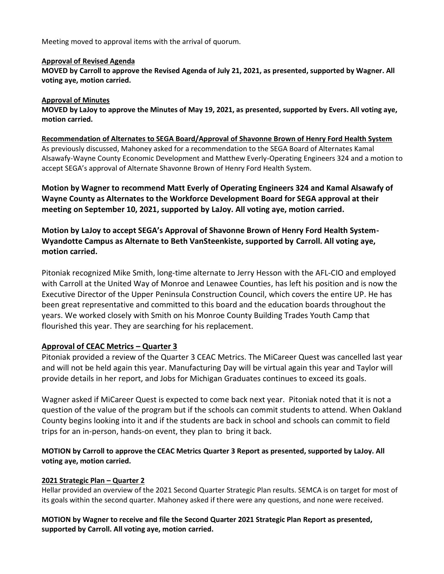Meeting moved to approval items with the arrival of quorum.

## **Approval of Revised Agenda**

**MOVED by Carroll to approve the Revised Agenda of July 21, 2021, as presented, supported by Wagner. All voting aye, motion carried.**

## **Approval of Minutes**

**MOVED by LaJoy to approve the Minutes of May 19, 2021, as presented, supported by Evers. All voting aye, motion carried.**

# **Recommendation of Alternates to SEGA Board/Approval of Shavonne Brown of Henry Ford Health System** As previously discussed, Mahoney asked for a recommendation to the SEGA Board of Alternates Kamal Alsawafy-Wayne County Economic Development and Matthew Everly-Operating Engineers 324 and a motion to

**Motion by Wagner to recommend Matt Everly of Operating Engineers 324 and Kamal Alsawafy of Wayne County as Alternates to the Workforce Development Board for SEGA approval at their meeting on September 10, 2021, supported by LaJoy. All voting aye, motion carried.**

accept SEGA's approval of Alternate Shavonne Brown of Henry Ford Health System.

**Motion by LaJoy to accept SEGA's Approval of Shavonne Brown of Henry Ford Health System-Wyandotte Campus as Alternate to Beth VanSteenkiste, supported by Carroll. All voting aye, motion carried.**

Pitoniak recognized Mike Smith, long-time alternate to Jerry Hesson with the AFL-CIO and employed with Carroll at the United Way of Monroe and Lenawee Counties, has left his position and is now the Executive Director of the Upper Peninsula Construction Council, which covers the entire UP. He has been great representative and committed to this board and the education boards throughout the years. We worked closely with Smith on his Monroe County Building Trades Youth Camp that flourished this year. They are searching for his replacement.

# **Approval of CEAC Metrics – Quarter 3**

Pitoniak provided a review of the Quarter 3 CEAC Metrics. The MiCareer Quest was cancelled last year and will not be held again this year. Manufacturing Day will be virtual again this year and Taylor will provide details in her report, and Jobs for Michigan Graduates continues to exceed its goals.

Wagner asked if MiCareer Quest is expected to come back next year. Pitoniak noted that it is not a question of the value of the program but if the schools can commit students to attend. When Oakland County begins looking into it and if the students are back in school and schools can commit to field trips for an in-person, hands-on event, they plan to bring it back.

# **MOTION by Carroll to approve the CEAC Metrics Quarter 3 Report as presented, supported by LaJoy. All voting aye, motion carried.**

## **2021 Strategic Plan – Quarter 2**

Hellar provided an overview of the 2021 Second Quarter Strategic Plan results. SEMCA is on target for most of its goals within the second quarter. Mahoney asked if there were any questions, and none were received.

**MOTION by Wagner to receive and file the Second Quarter 2021 Strategic Plan Report as presented, supported by Carroll. All voting aye, motion carried.**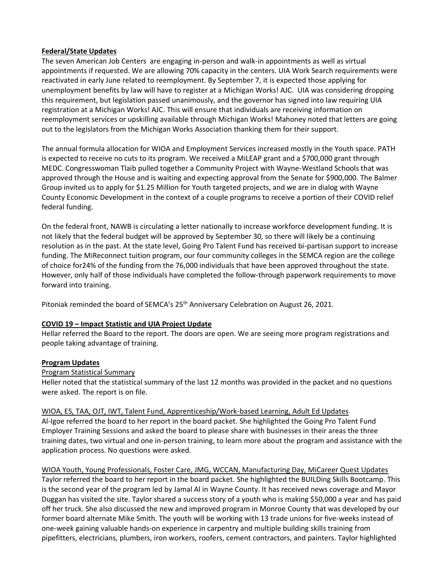## **Federal/State Updates**

The seven American Job Centers are engaging in-person and walk-in appointments as well as virtual appointments if requested. We are allowing 70% capacity in the centers. UIA Work Search requirements were reactivated in early June related to reemployment. By September 7, it is expected those applying for unemployment benefits by law will have to register at a Michigan Works! AJC. UIA was considering dropping this requirement, but legislation passed unanimously, and the governor has signed into law requiring UIA registration at a Michigan Works! AJC. This will ensure that individuals are receiving information on reemployment services or upskilling available through Michigan Works! Mahoney noted that letters are going out to the legislators from the Michigan Works Association thanking them for their support.

The annual formula allocation for WIOA and Employment Services increased mostly in the Youth space. PATH is expected to receive no cuts to its program. We received a MiLEAP grant and a \$700,000 grant through MEDC. Congresswoman Tlaib pulled together a Community Project with Wayne-Westland Schools that was approved through the House and is waiting and expecting approval from the Senate for \$900,000. The Balmer Group invited us to apply for \$1.25 Million for Youth targeted projects, and we are in dialog with Wayne County Economic Development in the context of a couple programs to receive a portion of their COVID relief federal funding.

On the federal front, NAWB is circulating a letter nationally to increase workforce development funding. It is not likely that the federal budget will be approved by September 30, so there will likely be a continuing resolution as in the past. At the state level, Going Pro Talent Fund has received bi-partisan support to increase funding. The MiReconnect tuition program, our four community colleges in the SEMCA region are the college of choice for24% of the funding from the 76,000 individuals that have been approved throughout the state. However, only half of those individuals have completed the follow-through paperwork requirements to move forward into training.

Pitoniak reminded the board of SEMCA's 25<sup>th</sup> Anniversary Celebration on August 26, 2021.

## **COVID 19 – Impact Statistic and UIA Project Update**

Hellar referred the Board to the report. The doors are open. We are seeing more program registrations and people taking advantage of training.

### **Program Updates**

## Program Statistical Summary

Heller noted that the statistical summary of the last 12 months was provided in the packet and no questions were asked. The report is on file.

### WIOA, ES, TAA, OJT, IWT, Talent Fund, Apprenticeship/Work-based Learning, Adult Ed Updates

Al-Igoe referred the board to her report in the board packet. She highlighted the Going Pro Talent Fund Employer Training Sessions and asked the board to please share with businesses in their areas the three training dates, two virtual and one in-person training, to learn more about the program and assistance with the application process. No questions were asked.

## WIOA Youth, Young Professionals, Foster Care, JMG, WCCAN, Manufacturing Day, MiCareer Quest Updates

Taylor referred the board to her report in the board packet. She highlighted the BUILDing Skills Bootcamp. This is the second year of the program led by Jamal Al in Wayne County. It has received news coverage and Mayor Duggan has visited the site. Taylor shared a success story of a youth who is making \$50,000 a year and has paid off her truck. She also discussed the new and improved program in Monroe County that was developed by our former board alternate Mike Smith. The youth will be working with 13 trade unions for five-weeks instead of one-week gaining valuable hands-on experience in carpentry and multiple building skills training from pipefitters, electricians, plumbers, iron workers, roofers, cement contractors, and painters. Taylor highlighted